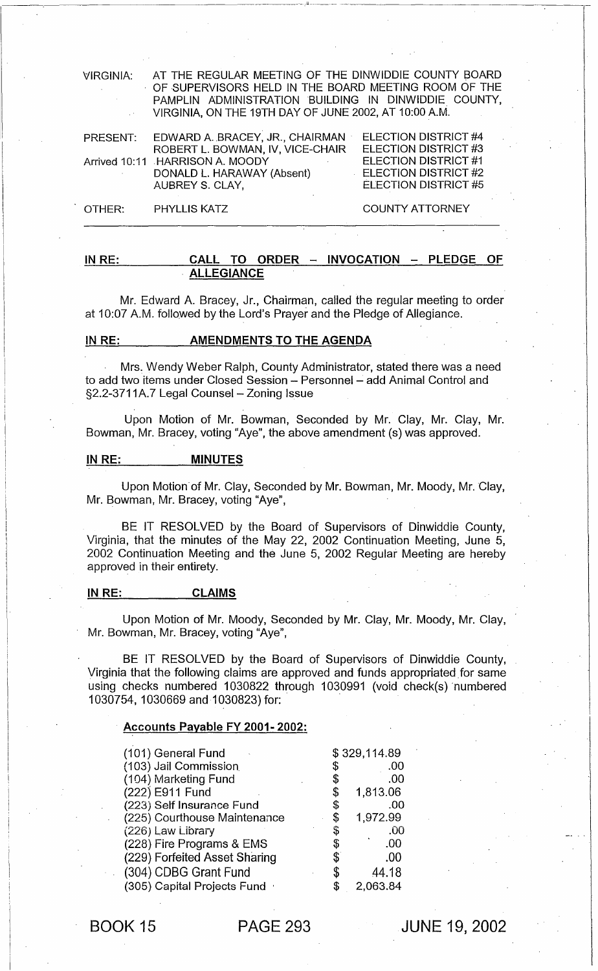VIRGINIA: AT THE REGULAR MEETING OF THE DINWIDDIE COUNTY BOARD OF SUPERVISORS HELD IN THE BOARD MEETING ROOM OF THE PAMPLIN ADMINISTRATION BUILDING IN DINWIDDIE COUNTY, VIRGINIA, ON THE 19TH DAY OF JUNE 2002, AT 10:00 A.M.

| PRESENT: | EDWARD A. BRACEY, JR., CHAIRMAN  | ELECTION DISTRICT #4                |
|----------|----------------------------------|-------------------------------------|
|          | ROBERT L. BOWMAN, IV, VICE-CHAIR | <b>ELECTION DISTRICT #3</b>         |
|          | Arrived 10:11 HARRISON A. MOODY  | ELECTION DISTRICT #1                |
|          | DONALD L. HARAWAY (Absent)       | $\overline{E}$ ELECTION DISTRICT #2 |
|          | AUBREY S. CLAY,                  | ELECTION DISTRICT #5                |
|          |                                  |                                     |

OTHER: PHYLLIS KATZ COUNTY ATTORNEY

## IN RE: CALL TO ORDER - INVOCATION - PLEDGE OF **ALLEGIANCE**

Mr. Edward A. Bracey, Jr., Chairman, called the regular meeting to order at 10:07 A.M. followed by the Lord's Prayer and the Pledge of Allegiance.

### IN RE: AMENDMENTS TO THE AGENDA

Mrs. Wendy Weber Ralph, County Administrator, stated there was a need to add two items under Closed Session - Personnel - add Animal Control and §2.2-3711A.7 Legal Counsel - Zoning Issue

Upon Motion of Mr. Bowman, Seconded by Mr. Clay, Mr. Clay, Mr. Bowman, Mr. Bracey, voting "Aye", the above amendment (s) was approved.

#### IN RE: MINUTES

Upon Motion· of Mr. Clay, Seconded by Mr. Bowman, Mr. Moody, Mr. Clay, Mr. Bowman, Mr. Bracey, voting "Aye",

BE IT RESOLVED by the Board of Supervisors of Dinwiddie County, Virginia, that the minutes of the May 22, 2002 Continuation Meeting, June 5, 2002 Continuation Meeting and the June 5, 2002 Regular Meeting are hereby approved in their entirety.

## INRE: CLAIMS

Upon Motion of Mr. Moody, Seconded by Mr. Clay, Mr. Moody, Mr. Clay, Mr. Bowman, Mr. Bracey, voting "Aye",

BE IT RESOLVED by the Board of Supervisors of Dinwiddie County, Virginia that the following claims are approved and funds appropriated for same using checks numbered 1030822 through 1030991 (void check(s) numbered 1030754, 1030669 and 1030823) for: . .

#### Accounts Payable FY 2001· 2002:

| (101) General Fund            |    | \$329,114.89 |
|-------------------------------|----|--------------|
| (103) Jail Commission         | \$ | .00          |
| (104) Marketing Fund          | \$ | .00          |
| (222) E911 Fund               | \$ | 1,813.06     |
| (223) Self Insurance Fund     | \$ | .00          |
| (225) Courthouse Maintenance  | S  | 1,972.99     |
| (226) Law Library             | \$ | .00          |
| (228) Fire Programs & EMS     | \$ | .00          |
| (229) Forfeited Asset Sharing | \$ | .00          |
| (304) CDBG Grant Fund         | S  | 44.18        |
| (305) Capital Projects Fund   |    | 2.063.84     |

BOOK 15 PAGE 293

JUNE 19, 2002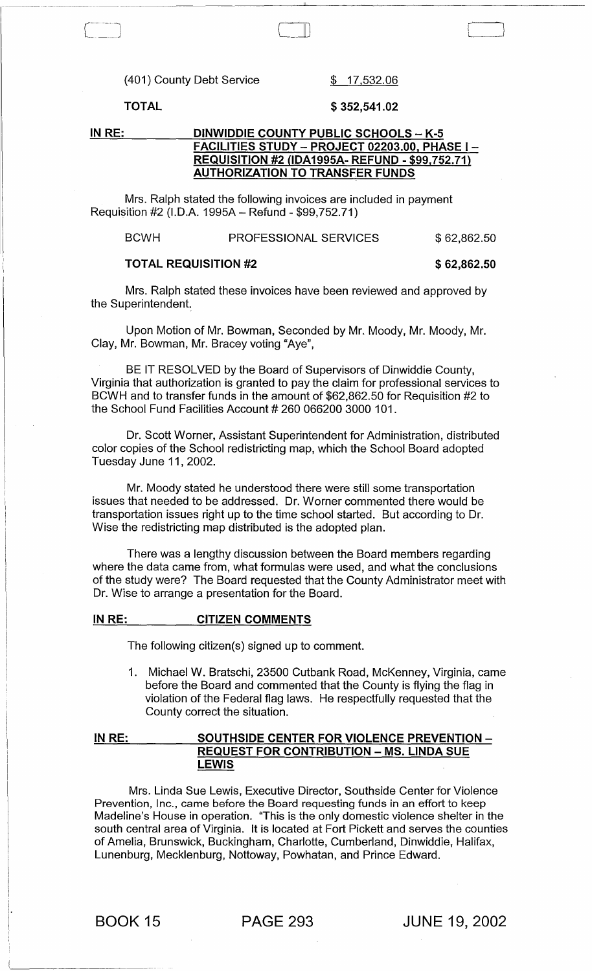(401) County Debt Service \$ 17,532.06

TOTAL \$352,541.02

#### IN RE: DINWIDDIE COUNTY PUBLIC SCHOOLS - K-5 FACILITIES STUDY - PROJECT 02203.00, PHASE I -REQUISITION #2 (lDA1995A- REFUND - \$99,752.71) AUTHORIZATION TO TRANSFER FUNDS

Mrs. Ralph stated the following invoices are included in payment Requisition #2 (I.D.A. 1995A - Refund - \$99,752.71)

BCWH PROFESSIONAL SERVICES \$ 62,862.50

#### TOTAL REQUISITION #2  $$62,862.50$

Mrs. Ralph stated these invoices have been reviewed and approved by the Superintendent

Upon Motion of Mr. Bowman, Seconded by Mr. Moody, Mr. Moody, Mr. Clay, Mr. Bowman, Mr. Bracey voting "Aye",

BE IT RESOLVED by the Board of Supervisors of Dinwiddie County, Virginia that authorization is granted to pay the claim for professional services to BCWH and to transfer funds in the amount of \$62,862.50 for Requisition #2 to the School Fund Facilities Account # 260 0662003000 101.

Dr. Scott Worner, Assistant Superintendent for Administration, distributed color copies of the School redistricting map, which the School Board adopted Tuesday June 11, 2002.

Mr. Moody stated he understood there were still some transportation issues that needed to be addressed. Dr. Worner commented there would be transportation issues right up to the time school started. But according to Dr. Wise the redistricting map distributed is the adopted plan.

There was a lengthy discussion between the Board members regarding where the data came from, what formulas were used, and what the conclusions of the study were? The Board requested that the County Administrator meet with Dr. Wise to arrange a presentation for the Board.

#### IN RE: CITIZEN COMMENTS

The following citizen(s) signed up to comment

1. Michael W. Bratschi, 23500 Cutbank Road, McKenney, Virginia, came before the Board and commented that the County is flying the flag in violation of the Federal flag laws. He respectfully requested that the County correct the situation.

IN RE: SOUTHSIDE CENTER FOR VIOLENCE PREVENTION -**REQUEST FOR CONTRIBUTION - MS. LINDA SUE** LEWIS

Mrs. Linda Sue Lewis, Executive Director, Southside Center for Violence Prevention, Inc., came before the Board requesting funds in an effort to keep Madeline's House in operation. "This is the only domestic violence shelter in the south central area of Virginia. It is located at Fort Pickett and serves the counties of Amelia, Brunswick, Buckingham, Charlotte, Cumberland, Dinwiddie, Halifax, Lunenburg, Mecklenburg, Nottoway, Powhatan, and Prince Edward.

BOOK 15 PAGE 293 JUNE 19, 2002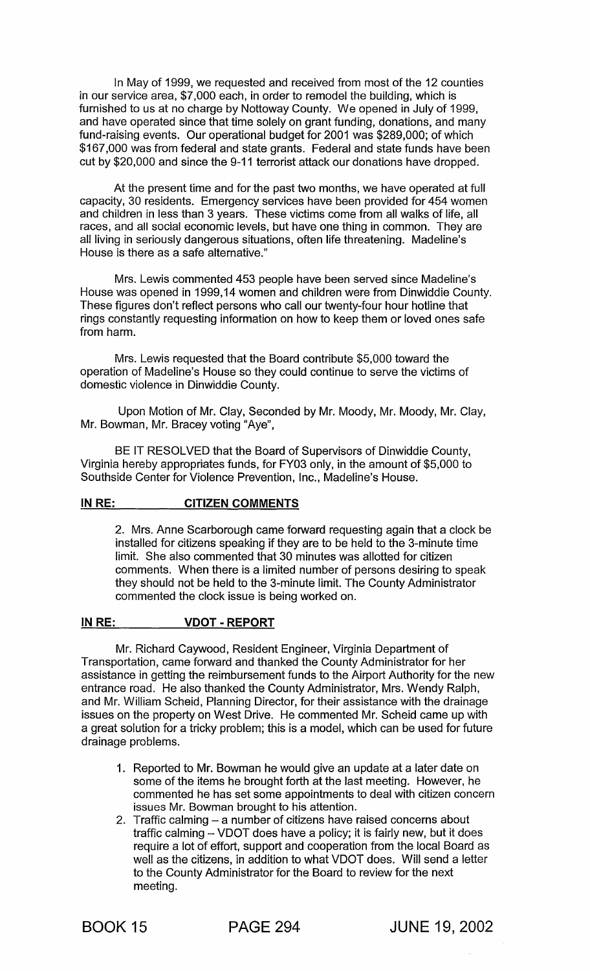In May of 1999, we requested and received from most of the 12 counties in our service area, \$7,000 each, in order to remodel the building, which is furnished to us at no charge by Nottoway County. We opened in July of 1999, and have operated since that time solely on grant funding, donations, and many fund-raising events. Our operational budget for 2001 was \$289,000; of which \$167,000 was from federal and state grants. Federal and state funds have been cut by \$20,000 and since the 9-11 terrorist attack our donations have dropped.

At the present time and for the past two months, we have operated at full capacity, 30 residents. Emergency services have been provided for 454 women and children in less than 3 years. These victims come from all walks of life, all races, and all social economic levels, but have one thing in common. They are all living in seriously dangerous situations, often life threatening. Madeline's House is there as a safe alternative."

Mrs. Lewis commented 453 people have been served since Madeline's House was opened in 1999,14 women and children were from Dinwiddie County. These figures don't reflect persons who call our twenty-four hour hotline that rings constantly requesting information on how to keep them or loved ones safe from harm.

Mrs. Lewis requested that the Board contribute \$5,000 toward the operation of Madeline's House so they could continue to serve the victims of domestic violence in Dinwiddie County.

Upon Motion of Mr. Clay, Seconded by Mr. Moody, Mr. Moody, Mr. Clay, Mr. Bowman, Mr. Bracey voting "Aye",

BE IT RESOLVED that the Board of Supervisors of Dinwiddie County, Virginia hereby appropriates funds, for FY03 only, in the amount of \$5,000 to Southside Center for Violence Prevention, Inc., Madeline's House.

#### IN RE: CITIZEN COMMENTS

2. Mrs. Anne Scarborough came forward requesting again that a clock be installed for citizens speaking if they are to be held to the 3-minute time limit. She also commented that 30 minutes was allotted for citizen comments. When there is a limited number of persons desiring to speak they should not be held to the 3-minute limit. The County Administrator commented the clock issue is being worked on.

#### IN RE: VDOT - REPORT

Mr. Richard Caywood, Resident Engineer, Virginia Department of Transportation, came forward and thanked the County Administrator for her assistance in getting the reimbursement funds to the Airport Authority for the new entrance road. He also thanked the County Administrator, Mrs. Wendy Ralph, and Mr. William Scheid, Planning Director, for their assistance with the drainage issues on the property on West Drive. He commented Mr. Scheid came up with a great solution for a tricky problem; this is a model, which can be used for future drainage problems.

- 1. Reported to Mr. Bowman he would give an update at a later date on some of the items he brought forth at the last meeting. However, he commented he has set some appointments to deal with citizen concern issues Mr. Bowman brought to his attention.
- 2. Traffic calming a number of citizens have raised concerns about traffic calming - VDOT does have a policy; it is fairly new, but it does require a lot of effort, support and cooperation from the local Board as well as the citizens, in addition to what VDOT does. Will send a letter to the County Administrator for the Board to review for the next meeting.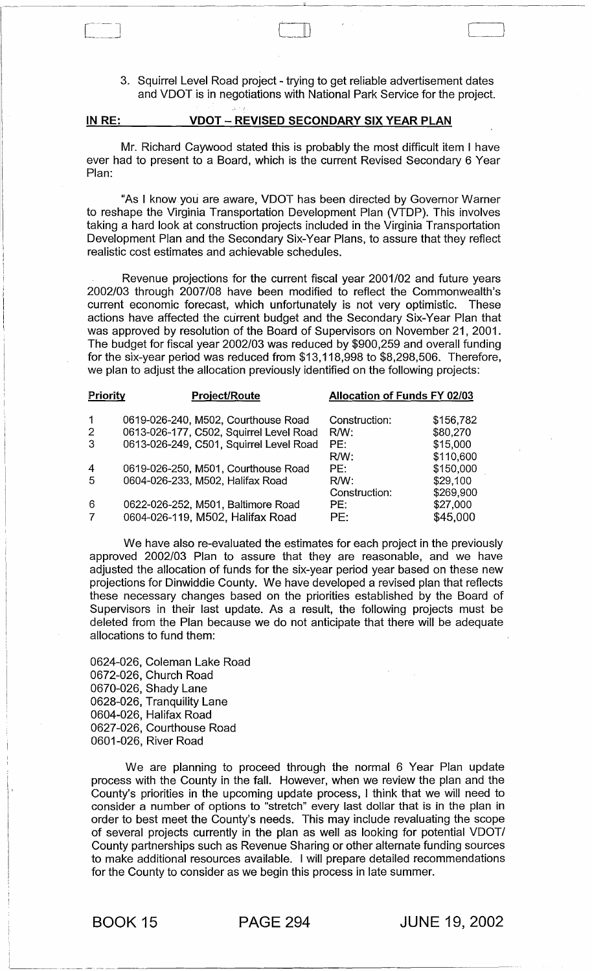3. Squirrel Level Road project - trying to get reliable advertisement dates and VDOT is in negotiations with National Park Service for the project.

--~-~ C\_JJ r \ L......---l

# IN RE: VDOT - REVISED SECONDARY SIX YEAR PLAN

 $\begin{bmatrix} \phantom{-}\end{bmatrix}$ 

 $\overline{\phantom{a}}$ 

Mr. Richard Caywood stated this is probably the most difficult item I have ever had to present to a Board, which is the current Revised Secondary 6 Year Plan:

"As I know you are aware, VDOT has been directed by Governor Warner to reshape the Virginia Transportation Development Plan (VTDP). This involves taking a hard look at construction projects included in the Virginia Transportation Development Plan and the Secondary Six-Year Plans, to assure that they reflect realistic cost estimates and achievable schedules.

Revenue projections for the current fiscal year 2001/02 and future years 2002/03 through 2007/08 have been modified to reflect the Commonwealth's current economic forecast, which unfortunately is not very optimistic. These actions have affected the current budget and the Secondary Six-Year Plan that was approved by resolution of the Board of Supervisors on November 21,2001. The budget for fiscal year 2002/03 was reduced by \$900,259 and overall funding for the six-year period was reduced from \$13,118,998 to \$8,298,506. Therefore, we plan to adjust the allocation previously identified on the following projects:

| <b>Priority</b><br><b>Project/Route</b> | <b>Allocation of Funds FY 02/03</b> |           |
|-----------------------------------------|-------------------------------------|-----------|
| 0619-026-240, M502, Courthouse Road     | Construction:                       | \$156,782 |
| 0613-026-177, C502, Squirrel Level Road | $R/W$ :                             | \$80,270  |
| 0613-026-249, C501, Squirrel Level Road | PF.                                 | \$15,000  |
|                                         | $R/W$ :                             | \$110,600 |
| 0619-026-250, M501, Courthouse Road     | PE:                                 | \$150,000 |
| 0604-026-233, M502, Halifax Road        | R/W:                                | \$29,100  |
|                                         | Construction:                       | \$269,900 |
| 0622-026-252, M501, Baltimore Road      | PE:                                 | \$27,000  |
| 0604-026-119, M502, Halifax Road        | PE:                                 | \$45,000  |
|                                         |                                     |           |

We have also re-evaluated the estimates for each project in the previously approved 2002/03 Plan to assure that they are reasonable, and we have adjusted the allocation of funds for the six-year period year based on these new projections for Dinwiddie County. We have developed a revised plan that reflects these necessary changes based on the priorities established by the Board of Supervisors in their last update. As a result, the following projects must be deleted from the Plan because we do not anticipate that there will be adequate allocations to fund them:

0624-026, Coleman Lake Road 0672-026, Church Road 0670-026, Shady Lane 0628-026, Tranquility Lane 0604-026, Halifax Road 0627 -026, Courthouse Road 0601-026, River Road

We are planning to proceed through the normal 6 Year Plan update process with the County in the fall. However, when we review the plan and the County's priorities in the upcoming update process, I think that we will need to consider a number of options to "stretch" every last dollar that is in the plan in order to best meet the County's needs. This may include revaluating the scope of several projects currently in the plan as well as looking for potential VDOTI County partnerships such as Revenue Sharing or other alternate funding sources to make additional resources available. I will prepare detailed recommendations for the County to consider as we begin this process in late summer.

--\_ ... \_--- ...... \_---------------------------

BOOK 15 PAGE 294 JUNE 19, 2002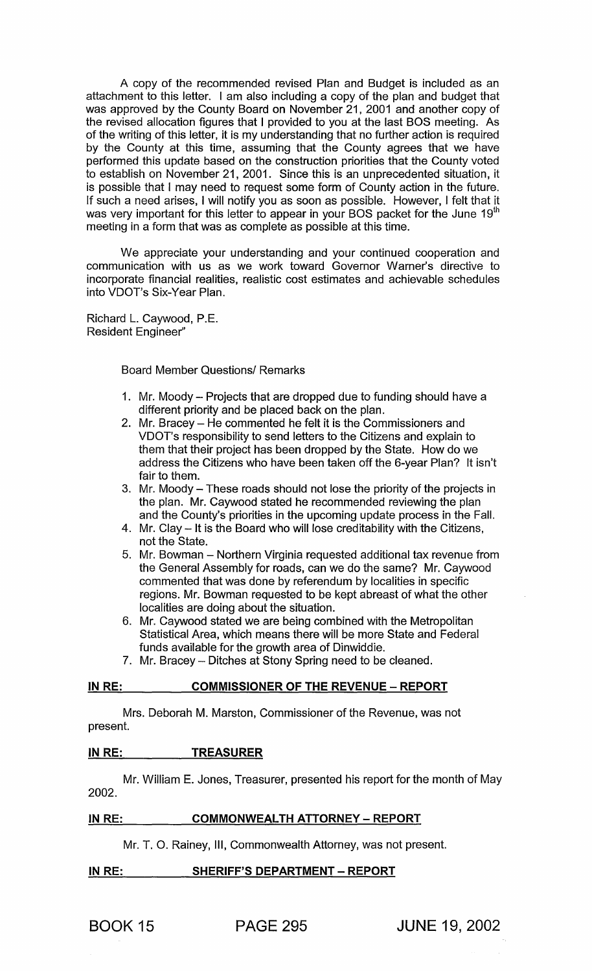A copy of the recommended revised Plan and Budget is included as an attachment to this letter. I am also including a copy of the plan and budget that was approved by the County Board on November 21,2001 and another copy of the revised allocation figures that I provided to you at the last BOS meeting. As of the writing of this letter, it is my understanding that no further action is required by the County at this time, assuming that the County agrees that we have performed this update based on the construction priorities that the County voted to establish on November 21, 2001. Since this is an unprecedented situation, it is possible that I may need to request some form of County action in the future. If such a need arises, I will notify you as soon as possible. However, I felt that it was very important for this letter to appear in your BOS packet for the June 19<sup>th</sup> meeting in a form that was as complete as possible at this time.

We appreciate your understanding and your continued cooperation and communication with us as we work toward Governor Warner's directive to incorporate financial realities, realistic cost estimates and achievable schedules into VDOT's Six-Year Plan.

Richard L. Caywood, P.E. Resident Engineer"

#### Board Member Questions/ Remarks

- 1. Mr. Moody Projects that are dropped due to funding should have a different priority and be placed back on the plan.
- 2. Mr. Bracey He commented he felt it is the Commissioners and VDOT's responsibility to send letters to the Citizens and explain to them that their project has been dropped by the State. How do we address the Citizens who have been taken off the 6-year Plan? It isn't fair to them.
- 3. Mr. Moody These roads should not lose the priority of the projects in the plan. Mr. Caywood stated he recommended reviewing the plan and the County's priorities in the upcoming update process in the Fall.
- 4. Mr. Clay It is the Board who will lose creditability with the Citizens, not the State.
- 5. Mr. Bowman Northern Virginia requested additional tax revenue from the General Assembly for roads, can we do the same? Mr. Caywood commented that was done by referendum by localities in specific regions. Mr. Bowman requested to be kept abreast of what the other localities are doing about the situation.
- 6. Mr. Caywood stated we are being combined with the Metropolitan Statistical Area, which means there will be more State and Federal funds available for the growth area of Dinwiddie.
- 7. Mr. Bracey Ditches at Stony Spring need to be cleaned.

#### **IN RE: COMMISSIONER OF THE REVENUE - REPORT**

Mrs. Deborah M. Marston, Commissioner of the Revenue, was not present.

#### **INRE: TREASURER**

Mr. William E. Jones, Treasurer, presented his report for the month of May 2002.

# **INRE: COMMONWEALTH ATTORNEY - REPORT**

Mr. T. O. Rainey, III, Commonwealth Attorney, was not present.

#### **IN RE: SHERIFF'S DEPARTMENT - REPORT**

|  |  |  |  | <b>BOOK 15</b> |  |  |
|--|--|--|--|----------------|--|--|
|--|--|--|--|----------------|--|--|

BOOK 15 **PAGE** 295 **JUNE** 19, 2002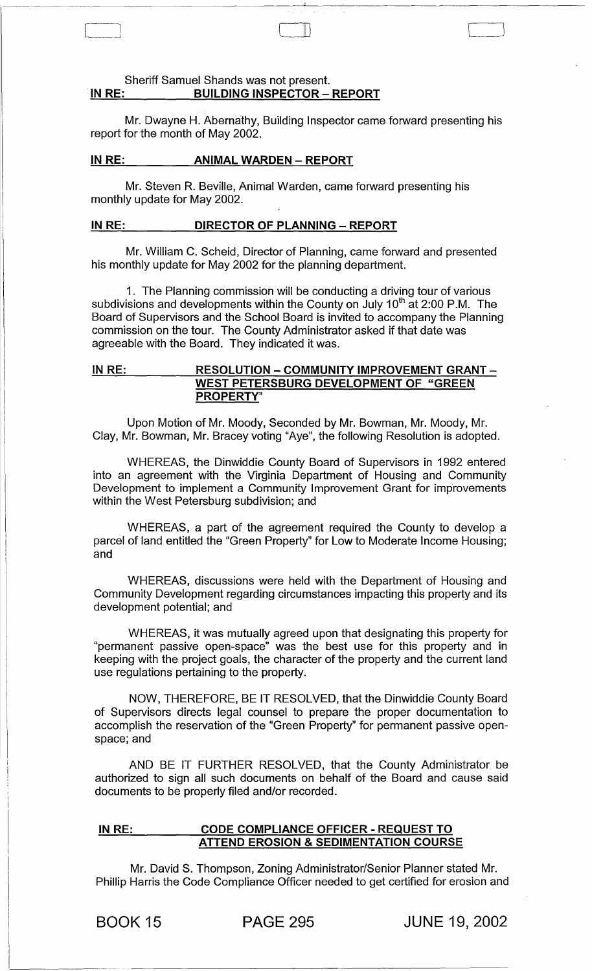# Sheriff Samuel Shands was not present.<br>**IN RE:** BUILDING INSPECTOR -**BUILDING INSPECTOR - REPORT**

Mr. Dwayne H. Abernathy, Building Inspector came forward presenting his report for the month of May 2002.

## IN RE: ANIMAL WARDEN – REPORT

Mr. Steven R. Beville, Animal Warden, came forward presenting his monthly update for May 2002.

### IN RE: DIRECTOR OF PLANNING - REPORT

Mr. William C. Scheid, Director of Planning, came forward and presented his monthly update for May 2002 for the planning department.

1. The Planning commission will be conducting a driving tour of various subdivisions and developments within the County on July  $10<sup>th</sup>$  at 2:00 P.M. The Board of Supervisors and the School Board is invited to accompany the Planning commission on the tour. The County Administrator asked if that date was agreeable with the Board. They indicated it was.

# IN RE: RESOLUTION - COMMUNITY IMPROVEMENT GRANT -WEST PETERSBURG DEVELOPMENT OF "GREEN PROPERTY"

Upon Motion of Mr. Moody, Seconded by Mr. Bowman, Mr. Moody, Mr. Clay, Mr. Bowman, Mr. Bracey voting "Aye", the following Resolution is adopted.

WHEREAS, the Dinwiddie County Board of Supervisors in 1992 entered into an agreement with the Virginia Department of Housing and Community Development to implement a Community Improvement Grant for improvements within the West Petersburg subdivision; and

WHEREAS, a part of the agreement required the County to develop a parcel of land entitled the "Green Property" for Low to Moderate Income Housing; and

WHEREAS, discussions were held with the Department of Housing and Community Development regarding circumstances impacting this property and its development potential; and

WHEREAS, it was mutually agreed upon that designating this property for "permanent passive open-space" was the best use for this property and in keeping with the project goals, the character of the property and the current land use regulations pertaining to the property.

NOW, THEREFORE, BE IT RESOLVED, that the Dinwiddie County Board of Supervisors directs legal counsel to prepare the proper documentation to accomplish the reservation of the "Green Property" for permanent passive openspace; and

AND BE IT FURTHER RESOLVED, that the County Administrator be authorized to sign all such documents on behalf of the Board and cause said documents to be properly filed and/or recorded.

## IN RE: CODE COMPLIANCE OFFICER - REQUEST TO ATTEND EROSION & SEDIMENTATION COURSE

Mr. David S. Thompson, Zoning Administrator/Senior Planner stated Mr. Phillip Harris the Code Compliance Officer needed to get certified for erosion and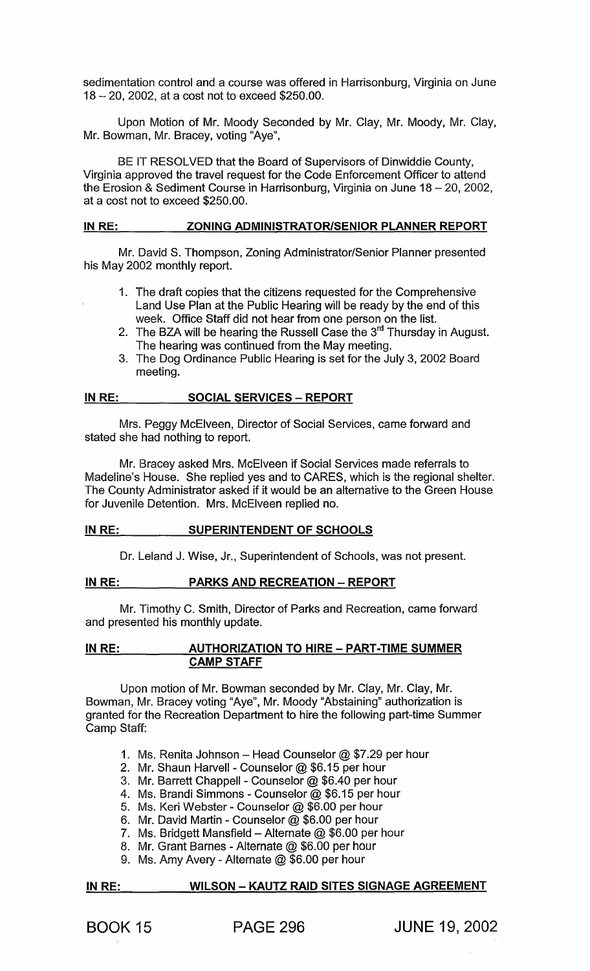sedimentation control and a course was offered in Harrisonburg, Virginia on June 18 - 20, 2002, at a cost not to exceed \$250.00.

Upon Motion of Mr. Moody Seconded by Mr. Clay, Mr. Moody, Mr. Clay, Mr. Bowman, Mr. Bracey, voting "Aye",

BE IT RESOLVED that the Board of Supervisors of Dinwiddie County, Virginia approved the travel request for the Code Enforcement Officer to attend the Erosion & Sediment Course in Harrisonburg, Virginia on June 18 - 20, 2002, at a cost not to exceed \$250.00.

# IN RE: ZONING ADMINISTRATOR/SENIOR PLANNER REPORT

Mr. David S. Thompson, Zoning Administrator/Senior Planner presented his May 2002 monthly report.

- 1. The draft copies that the citizens requested for the Comprehensive Land Use Plan at the Public Hearing will be ready by the end of this week. Office Staff did not hear from one person on the list.
- 2. The BZA will be hearing the Russell Case the 3<sup>rd</sup> Thursday in August. The hearing was continued from the May meeting.
- 3. The Dog Ordinance Public Hearing is set for the July 3, 2002 Board meeting.

# IN RE: SOCIAL SERVICES - REPORT

Mrs. Peggy McElveen, Director of Social Services, came forward and stated she had nothing to report.

Mr. Bracey asked Mrs. McElveen if Social Services made referrals to Madeline's House. She replied yes and to CARES, which is the regional shelter. The County Administrator asked if it would be an alternative to the Green House for Juvenile Detention. Mrs. McElveen replied no.

# IN RE: SUPERINTENDENT OF SCHOOLS

Dr. Leland J. Wise, Jr., Superintendent of Schools, was not present.

## IN RE: PARKS AND RECREATION - REPORT

Mr. Timothy C. Smith, Director of Parks and Recreation, came forward and presented his monthly update.

#### IN RE: AUTHORIZATION TO HIRE - PART-TIME SUMMER CAMP STAFF

Upon motion of Mr. Bowman seconded by Mr. Clay, Mr. Clay, Mr. Bowman, Mr. Bracey voting "Aye", Mr. Moody "Abstaining" authorization is granted for the Recreation Department to hire the following part-time Summer Camp Staff:

- 1. Ms. Renita Johnson Head Counselor  $@$  \$7.29 per hour
- 2. Mr. Shaun Harvell Counselor @ \$6.15 per hour
- 3. Mr. Barrett Chappell Counselor @ \$6.40 per hour
- 4. Ms. Brandi Simmons Counselor @ \$6.15 per hour
- 5. Ms. Keri Webster Counselor@ \$6.00 per hour
- 6. Mr. David Martin Counselor  $@$  \$6.00 per hour
- 7. Ms. Bridgett Mansfield Alternate  $@$  \$6.00 per hour
- 8. Mr. Grant Barnes Alternate @ \$6.00 per hour
- 9. Ms. Amy Avery Alternate @ \$6.00 per hour

# IN RE: WILSON - KAUTZ RAID SITES SIGNAGE AGREEMENT

BOOK 15 PAGE 296 JUNE 19, 2002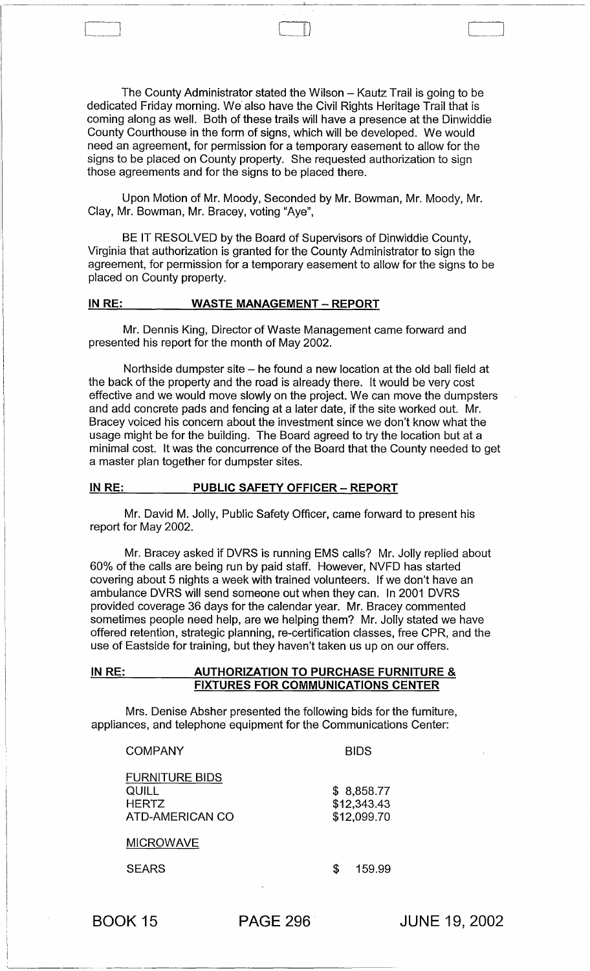The County Administrator stated the Wilson - Kautz Trail is going to be dedicated Friday morning. We' also have the Civil Rights Heritage Trail that is coming along as well. Both of these trails will have a presence at the Dinwiddie County Courthouse in the form of signs, which will be developed. We would need an agreement, for permission for a temporary easement to allow for the signs to be placed on County property. She requested authorization to sign those agreements and for the signs to be placed there.

Upon Motion of Mr. Moody, Seconded by Mr. Bowman, Mr. Moody, Mr. Clay, Mr. Bowman, Mr. Bracey, voting "Aye",

BE IT RESOLVED by the Board of Supervisors of Dinwiddie County, Virginia that authorization is granted for the County Administrator to sign the agreement, for permission for a temporary easement to allow for the signs to be placed on County property.

### IN RE: WASTE MANAGEMENT - REPORT

CJ L=U

Mr. Dennis King, Director of Waste Management came forward and presented his report for the month of May 2002.

Northside dumpster site - he found a new location at the old ball field at the back of the property and the road is already there. It would be very cost effective and we would move slowly on the project. We can move the dumpsters and add concrete pads and fencing at a later date, if the site worked out. Mr. Bracey voiced his concern about the investment since we don't know what the usage might be for the building. The Board agreed to try the location but at a minimal cost. It was the concurrence of the Board that the County needed to get a master plan together for dumpster sites.

#### IN RE: PUBLIC SAFETY OFFICER - REPORT

Mr. David M. Jolly, Public Safety Officer, came forward to present his report for May 2002.

Mr. Bracey asked if DVRS is running EMS calls? Mr. Jolly replied about 60% of the calls are being run by paid staff. However, NVFD has started covering about 5 nights a week with trained volunteers. If we don't have an ambulance DVRS will send someone out when they can. In 2001 DVRS provided coverage 36 days for the calendar year. Mr. Bracey commented sometimes people need help, are we helping them? Mr. Jolly stated we have offered retention, strategic planning, re-certification classes, free CPR, and the use of Eastside for training, but they haven't taken us up on our offers.

## IN RE: AUTHORIZATION TO PURCHASE FURNITURE & FIXTURES FOR COMMUNICATIONS CENTER

Mrs. Denise Absher presented the following bids for the furniture, appliances, and telephone equipment for the Communications Center:

#### **COMPANY**

BIDS

| <b>FURNITURE BIDS</b><br>QUILL<br><b>HERTZ</b><br>ATD-AMERICAN CO | \$8,858.77<br>\$12,343.43<br>\$12,099.70 |  |
|-------------------------------------------------------------------|------------------------------------------|--|
| <b>MICROWAVE</b>                                                  |                                          |  |
| <b>SEARS</b>                                                      | 159.99                                   |  |

BOOK 15

PAGE 296 JUNE 19,2002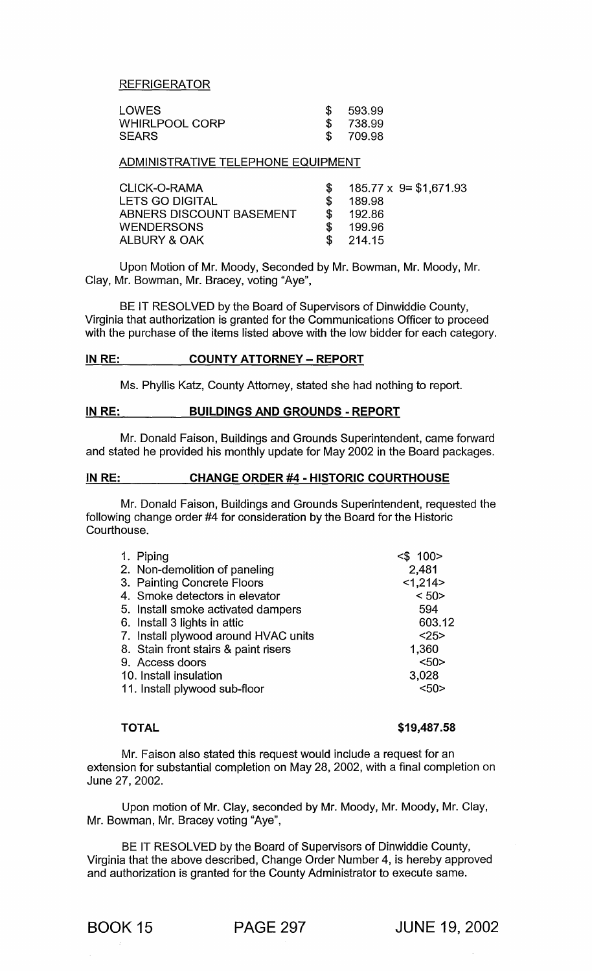REFRIGERATOR

| LOWES                 | \$593.99  |
|-----------------------|-----------|
| <b>WHIRLPOOL CORP</b> | \$ 738.99 |
| <b>SEARS</b>          | \$709.98  |

#### ADMINISTRATIVE TELEPHONE EQUIPMENT

| CLICK-O-RAMA             | $185.77 \times 9 = $1,671.93$ |
|--------------------------|-------------------------------|
| LETS GO DIGITAL          | 189.98                        |
| ABNERS DISCOUNT BASEMENT | 192.86                        |
| <b>WENDERSONS</b>        | -199.96                       |
| ALBURY & OAK             | 214.15                        |

Upon Motion of Mr. Moody, Seconded by Mr. Bowman, Mr. Moody, Mr. Clay, Mr. Bowman, Mr. Bracey, voting "Aye",

BE IT RESOLVED by the Board of Supervisors of Dinwiddie County, Virginia that authorization is granted for the Communications Officer to proceed with the purchase of the items listed above with the low bidder for each category.

### IN RE: COUNTY ATTORNEY - REPORT

Ms. Phyllis Katz, County Attorney, stated she had nothing to report.

#### IN RE: BUILDINGS AND GROUNDS - REPORT

Mr. Donald Faison, Buildings and Grounds Superintendent, came forward and stated he provided his monthly update for May 2002 in the Board packages.

#### IN RE: CHANGE ORDER #4 - HISTORIC COURTHOUSE

Mr. Donald Faison, Buildings and Grounds Superintendent, requested the following change order #4 for consideration by the Board for the Historic Courthouse.

| 1. Piping                            | $<$ \$ 100> |
|--------------------------------------|-------------|
| 2. Non-demolition of paneling        | 2,481       |
| 3. Painting Concrete Floors          | <1,214>     |
| 4. Smoke detectors in elevator       | < 50        |
| 5. Install smoke activated dampers   | 594         |
| 6. Install 3 lights in attic         | 603.12      |
| 7. Install plywood around HVAC units | <25         |
| 8. Stain front stairs & paint risers | 1,360       |
| 9. Access doors                      | < 50        |
| 10. Install insulation               | 3,028       |
| 11. Install plywood sub-floor        | $50$        |
|                                      |             |

### TOTAL

#### \$19,487.58

Mr. Faison also stated this request would include a request for an extension for substantial completion on May 28, 2002, with a final completion on June 27,2002.

Upon motion of Mr. Clay, seconded by Mr. Moody, Mr. Moody, Mr. Clay, Mr. Bowman, Mr. Bracey voting "Aye",

BE IT RESOLVED by the Board of Supervisors of Dinwiddie County, Virginia that the above described, Change Order Number 4, is hereby approved and authorization is granted for the County Administrator to execute same.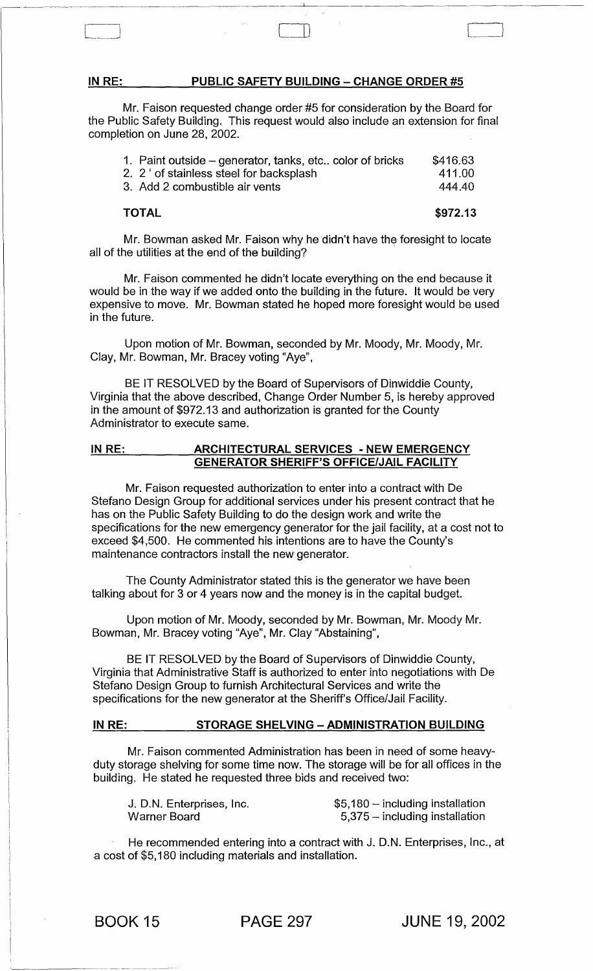IN RE: PUBLIC SAFETY BUILDING - CHANGE ORDER #5

Mr. Faison requested change order #5 for consideration by the Board for the Public Safety Building. This request would also include an extension for final completion on June 28, 2002.

| 1. Paint outside – generator, tanks, etc color of bricks | \$416.63 |
|----------------------------------------------------------|----------|
| 2. 2 ' of stainless steel for backsplash                 | 411.00   |
| 3. Add 2 combustible air vents                           | 444.40   |
|                                                          |          |

L~ CD

 $\texttt{TOTAL} \quad \texttt{\$972.13}$ 

Mr. Bowman asked Mr. Faison why he didn't have the foresight to locate all of the utilities at the end of the building?

Mr. Faison commented he didn't locate everything on the end because it would be in the way if we added onto the building in the future. It would be very expensive to move. Mr. Bowman stated he hoped more foresight would be used in the future.

Upon motion of Mr. Bowman, seconded by Mr. Moody, Mr. Moody, Mr. Clay, Mr. Bowman, Mr. Bracey voting "Aye",

BE IT RESOLVED by the Board of Supervisors of Dinwiddie County, Virginia that the above described, Change Order Number 5, is hereby approved in the amount of \$972.13 and authorization is granted for the County Administrator to execute same.

#### IN RE: ARCHITECTURAL SERVICES - NEW EMERGENCY GENERATOR SHERIFF'S OFFICE/JAIL FACILITY

Mr. Faison requested authorization to enter into a contract with De Stefano Design Group for additional services under his present contract that he has on the Public Safety Building to do the design work and write the specifications for the new emergency generator for the jail facility, at a cost not to exceed \$4,500. He commented his intentions are to have the County's maintenance contractors install the new generator.

The County Administrator stated this is the generator we have been talking about for 3 or 4 years now and the money is in the capital budget.

Upon motion of Mr. Moody, seconded by Mr. Bowman, Mr. Moody Mr. Bowman, Mr. Bracey voting "Aye", Mr. Clay "Abstaining",

BE IT RESOLVED by the Board of Supervisors of Dinwiddie County, Virginia that Administrative Staff is authorized to enter into negotiations with De Stefano Design Group to furnish Architectural Services and write the specifications for the new generator at the Sheriff's Office/Jail Facility.

# IN RE: STORAGE SHELVING - ADMINISTRATION BUILDING

Mr. Faison commented Administration has been in need of some heavyduty storage shelving for some time now. The storage will be for all offices in the building. He stated he requested three bids and received two:

| J. D.N. Enterprises, Inc. | $$5,180$ - including installation |
|---------------------------|-----------------------------------|
| Warner Board              | 5,375 – including installation    |

He recommended entering into a contract with J. D.N. Enterprises, Inc., at a cost of \$5,180 including materials and installation.

BOOK 15 PAGE 297 JUNE 19, 2002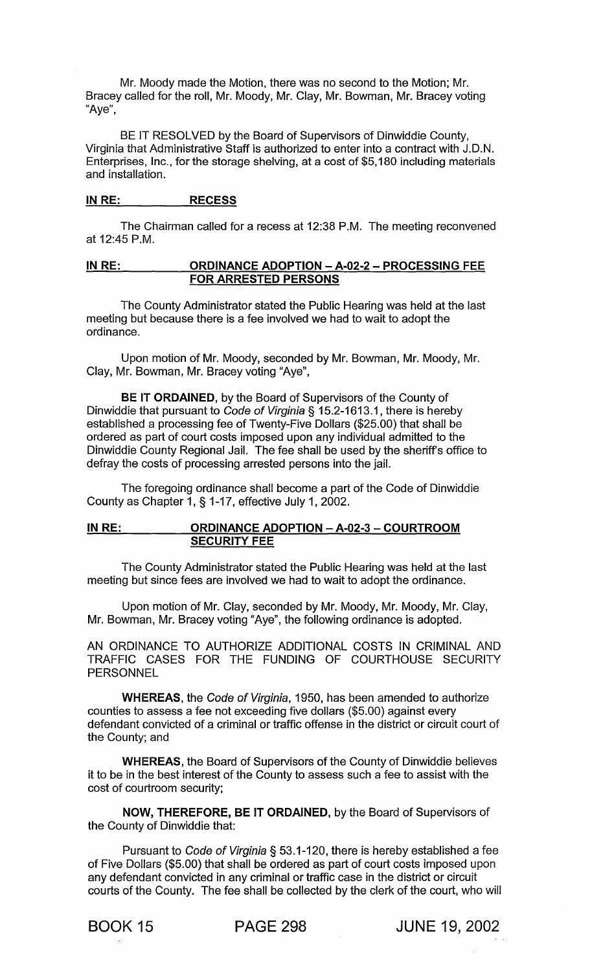Mr. Moody made the Motion, there was no second to the Motion; Mr. Bracey called for the roll, Mr. Moody, Mr. Clay, Mr. Bowman, Mr. Bracey voting "Aye",

BE IT RESOLVED by the Board of Supervisors of Dinwiddie County, Virginia that Administrative Staff is authorized to enter into a contract with J.D.N. Enterprises, Inc., for the storage shelving, at a cost of \$5,180 including materials and installation.

### IN RE: RECESS

The Chairman called for a recess at 12:38 P.M. The meeting reconvened at 12:45 P.M.

# IN RE: ORDINANCE ADOPTION - A-02-2 - PROCESSING FEE FOR ARRESTED PERSONS

The County Administrator stated the Public Hearing was held at the last meeting but because there is a fee involved we had to wait to adopt the ordinance.

Upon motion of Mr. Moody, seconded by Mr. Bowman, Mr. Moody, Mr. Clay, Mr. Bowman, Mr. Bracey voting "Aye",

BE IT ORDAINED, by the Board of Supervisors of the County of Dinwiddie that pursuant to Code of Virginia § 15.2-1613.1, there is hereby established a processing fee of Twenty-Five Dollars (\$25.00) that shall be ordered as part of court costs imposed upon any individual admitted to the Dinwiddie County Regional Jail. The fee shall be used by the sheriff's office to defray the costs of processing arrested persons into the jail.

The foregoing ordinance shall become a part of the Code of Dinwiddie County as Chapter 1, § 1-17, effective July 1, 2002.

### IN RE: ORDINANCE ADOPTION - A-02-3 - COURTROOM SECURITY FEE

The County Administrator stated the Public Hearing was held at the last meeting but since fees are involved we had to wait to adopt the ordinance.

Upon motion of Mr. Clay, seconded by Mr. Moody, Mr. Moody, Mr. Clay, Mr. Bowman, Mr. Bracey voting "Aye", the following ordinance is adopted.

AN ORDINANCE TO AUTHORIZE ADDITIONAL COSTS IN CRIMINAL AND TRAFFIC CASES FOR THE FUNDING OF COURTHOUSE SECURITY PERSONNEL

WHEREAS, the Code of Virginia, 1950, has been amended to authorize counties to assess a fee not exceeding five dollars (\$5.00) against every defendant convicted of a criminal or traffic offense in the district or circuit court of the County; and

WHEREAS, the Board of Supervisors of the County of Dinwiddie believes it to be in the best interest of the County to assess such a fee to assist with the cost of courtroom security;

NOW, THEREFORE, BE IT ORDAINED, by the Board of Supervisors of the County of Dinwiddie that:

Pursuant to Code of Virginia § 53.1-120, there is hereby established a fee of Five Dollars (\$5.00) that shall be ordered as part of court costs imposed upon any defendant convicted in any criminal or traffic case in the district or circuit courts of the County. The fee shall be collected by the clerk of the court, who will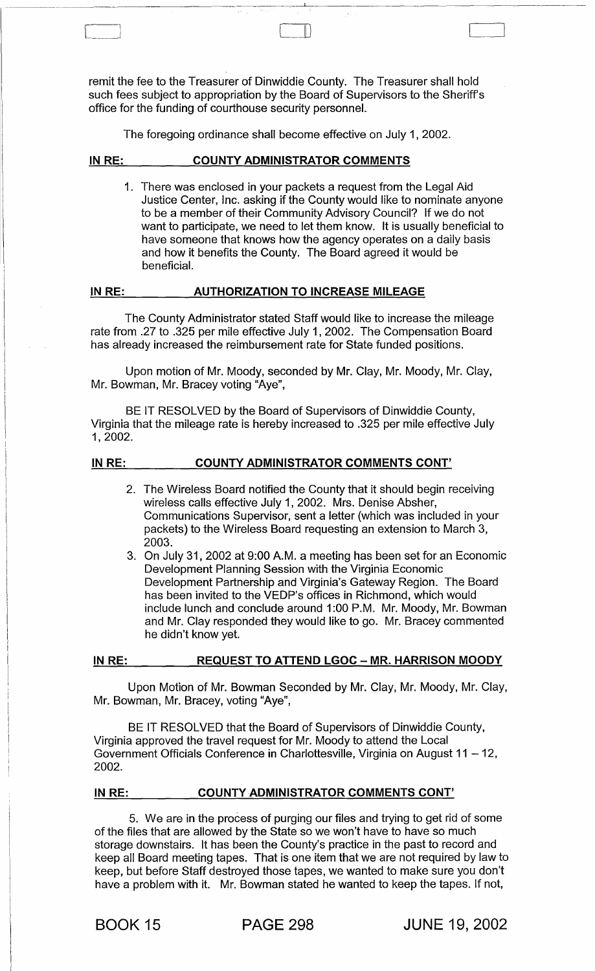remit the fee to the Treasurer of Dinwiddie County. The Treasurer shall hold such fees subject to appropriation by the Board of Supervisors to the Sheriff's office for the funding of courthouse security personnel.

 $\Box$ 

The foregoing ordinance shall become effective on July 1, 2002.

#### IN RE: COUNTY ADMINISTRATOR COMMENTS

----~-~--~----------------.

1. There was enclosed in your packets a request from the Legal Aid Justice Center, Inc. asking if the County would like to nominate anyone to be a member of their Community Advisory Council? If we do not want to participate, we need to let them know. It is usually beneficial to have someone that knows how the agency operates on a daily basis and how it benefits the County. The Board agreed it would be beneficial.

#### IN RE: AUTHORIZATION TO INCREASE MILEAGE

The County Administrator stated Staff would like to increase the mileage rate from .27 to .325 per mile effective July 1, 2002. The Compensation Board has already increased the reimbursement rate for State funded positions.

Upon motion of Mr. Moody, seconded by Mr. Clay, Mr. Moody, Mr. Clay, Mr. Bowman, Mr. Bracey voting "Aye",

BE IT RESOLVED by the Board of Supervisors of Dinwiddie County, Virginia that the mileage rate is hereby increased to .325 per mile effective July 1,2002.

#### IN RE: COUNTY ADMINISTRATOR COMMENTS CONT'

- 2. The Wireless Board notified the County that it should begin receiving wireless calls effective July 1, 2002. Mrs. Denise Absher, Communications Supervisor, sent a letter (which was included in your packets) to the Wireless Board requesting an extension to March 3, 2003.
- 3. On July 31, 2002 at 9:00 A.M. a meeting has been set for an Economic Development Planning Session with the Virginia Economic Development Partnership and Virginia's Gateway Region. The Board has been invited to the VEDP's offices in Richmond, which would include lunch and conclude around 1:00 P.M. Mr. Moody, Mr. Bowman and Mr. Clay responded they would like to go. Mr. Bracey commented he didn't know yet.

# IN RE: REQUEST TO ATTEND LGOC - MR. HARRISON MOODY

Upon Motion of Mr. Bowman Seconded by Mr. Clay, Mr. Moody, Mr. Clay, Mr. Bowman, Mr. Bracey, voting "Aye",

BE IT RESOLVED that the Board of Supervisors of Dinwiddie County, Virginia approved the travel request for Mr. Moody to attend the Local Government Officials Conference in Charlottesville, Virginia on August 11 - 12, 2002.

# IN RE: COUNTY ADMINISTRATOR COMMENTS CONT'

5. We are in the process of purging our files and trying to get rid of some of the files that are allowed by the State so we won't have to have so much storage downstairs. It has been the County's practice in the past to record and keep all Board meeting tapes. That is one item that we are not required by law to keep, but before Staff destroyed those tapes, we wanted to make sure you don't have a problem with it. Mr. Bowman stated he wanted to keep the tapes. If not,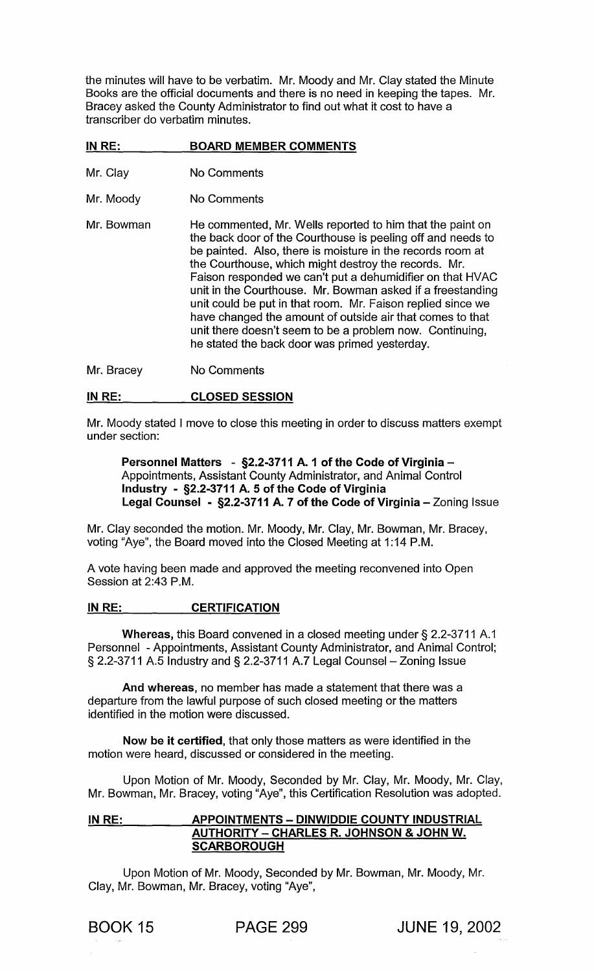the minutes will have to be verbatim. Mr. Moody and Mr. Clay stated the Minute Books are the official documents and there is no need in keeping the tapes. Mr. Bracey asked the County Administrator to find out what it cost to have a transcriber do verbatim minutes.

| IN RE:     | <b>BOARD MEMBER COMMENTS</b>                                                                                                                                                                                                                                                                                                                                                                                                                                                                                                                                                                                       |
|------------|--------------------------------------------------------------------------------------------------------------------------------------------------------------------------------------------------------------------------------------------------------------------------------------------------------------------------------------------------------------------------------------------------------------------------------------------------------------------------------------------------------------------------------------------------------------------------------------------------------------------|
| Mr. Clay   | No Comments                                                                                                                                                                                                                                                                                                                                                                                                                                                                                                                                                                                                        |
| Mr. Moody  | No Comments                                                                                                                                                                                                                                                                                                                                                                                                                                                                                                                                                                                                        |
| Mr. Bowman | He commented, Mr. Wells reported to him that the paint on<br>the back door of the Courthouse is peeling off and needs to<br>be painted. Also, there is moisture in the records room at<br>the Courthouse, which might destroy the records. Mr.<br>Faison responded we can't put a dehumidifier on that HVAC<br>unit in the Courthouse. Mr. Bowman asked if a freestanding<br>unit could be put in that room. Mr. Faison replied since we<br>have changed the amount of outside air that comes to that<br>unit there doesn't seem to be a problem now. Continuing,<br>he stated the back door was primed yesterday. |
| Mr. Bracey | No Comments                                                                                                                                                                                                                                                                                                                                                                                                                                                                                                                                                                                                        |

#### IN RE: CLOSED SESSION

Mr. Moody stated I move to close this meeting in order to discuss matters exempt under section:

Personnel Matters - §2.2-3711 A. 1 of the Code of Virginia -Appointments, Assistant County Administrator, and Animal Control Industry - §2.2-3711 A. 5 of the Code of Virginia Legal Counsel - §2.2-3711 A. 7 of the Code of Virginia - Zoning Issue

Mr. Clay seconded the motion. Mr. Moody, Mr. Clay, Mr. Bowman, Mr. Bracey, voting "Aye", the Board moved into the Closed Meeting at 1 :14 P.M.

A vote having been made and approved the meeting reconvened into Open Session at 2:43 P.M.

# IN RE: CERTIFICATION

Whereas, this Board convened in a closed meeting under § 2.2-3711 A.1 Personnel - Appointments, Assistant County Administrator, and Animal Control; § 2.2-3711 A.5 Industry and § 2.2-3711 A.7 Legal Counsel- Zoning Issue

And whereas, no member has made a statement that there was a departure from the lawful purpose of such closed meeting or the matters identified in the motion were discussed.

Now be it certified, that only those matters as were identified in the motion were heard, discussed or considered in the meeting.

Upon Motion of Mr. Moody, Seconded by Mr. Clay, Mr. Moody, Mr. Clay, Mr. Bowman, Mr. Bracey, voting "Aye", this Certification Resolution was adopted.

# IN RE: APPOINTMENTS - DINWIDDIE COUNTY INDUSTRIAL AUTHORITY - CHARLES R. JOHNSON & JOHN W. **SCARBOROUGH**

Upon Motion of Mr. Moody, Seconded by Mr. Bowman, Mr. Moody, Mr. Clay, Mr. Bowman, Mr. Bracey, voting "Aye",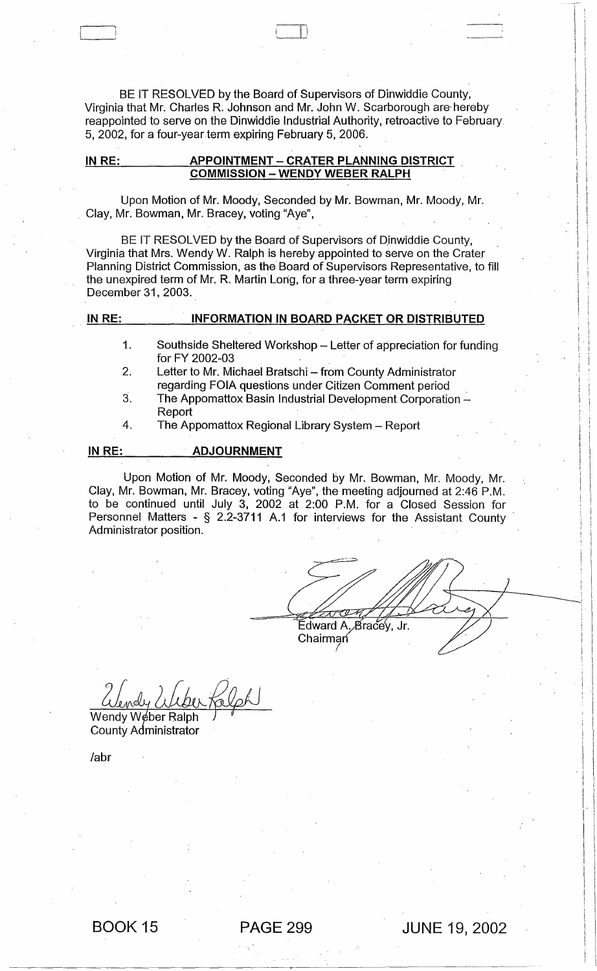BE IT RESOLVED by the Board of Supervisors of Dinwiddie County, Virginia that Mr. Charles R. Johnson and Mr. John W. Scarborough are-hereby reappointed to serve on the Dinwiddie Industrial Authority, retroactive to February 5, 2002, for a four-year term expiring February 5, 2006.

 $\Box$ 

### IN RE: APPOINTMENT - CRATER PLANNING DISTRICT COMMISSION - WENDY WEBER RALPH

Upon Motion of Mr. Moody, Seconded by Mr. Bowman, Mr. Moody, Mr. Clay, Mr. Bowman, Mr. Bracey, voting "Aye",

BE IT RESOLVED by the Board of Supervisors of Dinwiddie County, Virginia that Mrs. Wendy W. Ralph is hereby appointed to serve on the Crater Planning District Commission, as the Board of Supervisors Representative, to fill the unexpired term of Mr. R. Martin Long, for a three-year term expiring December 31, 2003.

#### IN RE: INFORMATION IN BOARD PACKET OR DISTRIBUTED

- 1. Southside Sheltered Workshop - Letter of appreciation for funding for FY 2002-03
- 2. Letter to Mr. Michael Bratschi - from County Administrator regarding FOIA questions under Citizen Comment period .
- 3. The Appomattox Basin Industrial Development Corporation-Report
- 4. The Appomattox Regional Library System - Report

#### IN RE: ADJOURNMENT

Upon Motion of Mr. Moody, Seconded by Mr. Bowman, Mr. Moody, Mr. Clay, Mr. Bowman, Mr. Bracey, voting "Aye", the meeting adjourned at 2:46 P.M. to be continued until July 3, 2002 at 2:00 P.M. for a Closed Session for Personnel Matters - § 2.2-3711 A.1 for interviews for the Assistant County Administrator position.

~-.... "'::. t V H Edward A. Bracey, Jr. Chairman

Wendy W¢ber Ralph County Administrator

labr